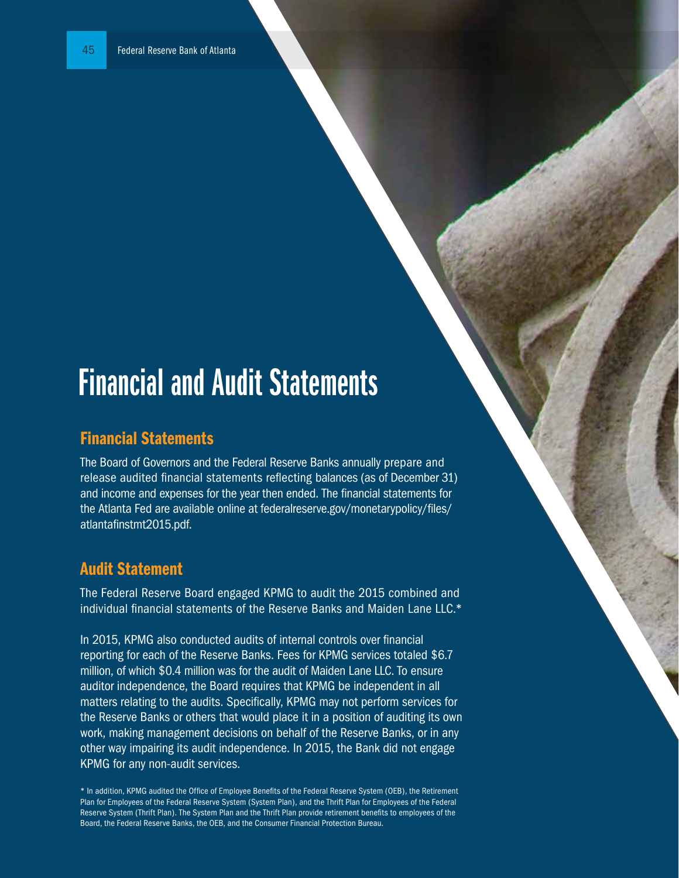## Financial and Audit Statements

## Financial Statements

The Board of Governors and the Federal Reserve Banks annually prepare and release audited financial statements reflecting balances (as of December 31) and income and expenses for the year then ended. The financial statements for the Atlanta Fed are available online at federalreserve.gov/monetarypolicy/files/ atlantafinstmt2015.pdf.

## Audit Statement

The Federal Reserve Board engaged KPMG to audit the 2015 combined and individual financial statements of the Reserve Banks and Maiden Lane LLC.\*

In 2015, KPMG also conducted audits of internal controls over financial reporting for each of the Reserve Banks. Fees for KPMG services totaled \$6.7 million, of which \$0.4 million was for the audit of Maiden Lane LLC. To ensure auditor independence, the Board requires that KPMG be independent in all matters relating to the audits. Specifically, KPMG may not perform services for the Reserve Banks or others that would place it in a position of auditing its own work, making management decisions on behalf of the Reserve Banks, or in any other way impairing its audit independence. In 2015, the Bank did not engage KPMG for any non-audit services.

\* In addition, KPMG audited the Office of Employee Benefits of the Federal Reserve System (OEB), the Retirement Plan for Employees of the Federal Reserve System (System Plan), and the Thrift Plan for Employees of the Federal Reserve System (Thrift Plan). The System Plan and the Thrift Plan provide retirement benefits to employees of the Board, the Federal Reserve Banks, the OEB, and the Consumer Financial Protection Bureau.